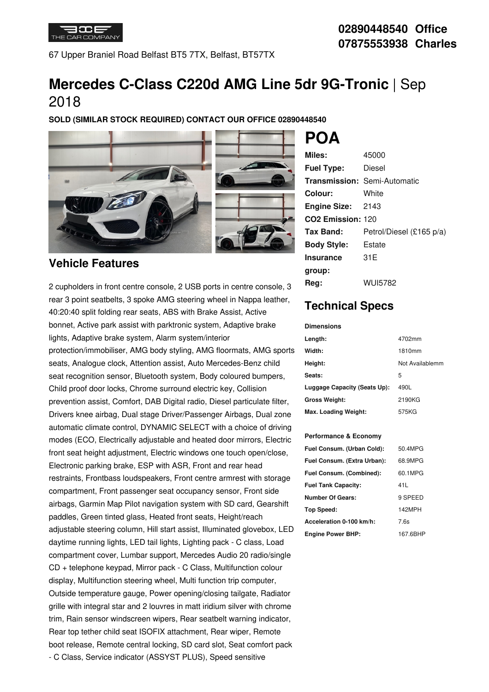

67 Upper Braniel Road Belfast BT5 7TX, Belfast, BT57TX

# **Mercedes C-Class C220d AMG Line 5dr 9G-Tronic** | Sep 2018

**SOLD (SIMILAR STOCK REQUIRED) CONTACT OUR OFFICE 02890448540**



### **Vehicle Features**

2 cupholders in front centre console, 2 USB ports in centre console, 3 Reg: rear 3 point seatbelts, 3 spoke AMG steering wheel in Nappa leather, 40:20:40 split folding rear seats, ABS with Brake Assist, Active bonnet, Active park assist with parktronic system, Adaptive brake lights, Adaptive brake system, Alarm system/interior protection/immobiliser, AMG body styling, AMG floormats, AMG sports seats, Analogue clock, Attention assist, Auto Mercedes-Benz child seat recognition sensor, Bluetooth system, Body coloured bumpers, Child proof door locks, Chrome surround electric key, Collision prevention assist, Comfort, DAB Digital radio, Diesel particulate filter, Drivers knee airbag, Dual stage Driver/Passenger Airbags, Dual zone automatic climate control, DYNAMIC SELECT with a choice of driving modes (ECO, Electrically adjustable and heated door mirrors, Electric front seat height adjustment, Electric windows one touch open/close, Electronic parking brake, ESP with ASR, Front and rear head restraints, Frontbass loudspeakers, Front centre armrest with storage compartment, Front passenger seat occupancy sensor, Front side airbags, Garmin Map Pilot navigation system with SD card, Gearshift paddles, Green tinted glass, Heated front seats, Height/reach adjustable steering column, Hill start assist, Illuminated glovebox, LED daytime running lights, LED tail lights, Lighting pack - C class, Load compartment cover, Lumbar support, Mercedes Audio 20 radio/single CD + telephone keypad, Mirror pack -C Class, Multifunction colour display, Multifunction steering wheel, Multi function trip computer, Outside temperature gauge, Power opening/closing tailgate, Radiator grille with integral star and 2 louvres in matt iridium silver with chrome trim, Rain sensor windscreen wipers, Rear seatbelt warning indicator, Rear top tether child seat ISOFIX attachment, Rear wiper, Remote boot release, Remote central locking, SD card slot, Seat comfort pack - C Class, Service indicator (ASSYST PLUS), Speed sensitive

| Miles:                        | 45000                               |
|-------------------------------|-------------------------------------|
| <b>Fuel Type:</b>             | Diesel                              |
|                               | <b>Transmission: Semi-Automatic</b> |
| Colour:                       | White                               |
| <b>Engine Size: 2143</b>      |                                     |
| CO <sub>2</sub> Emission: 120 |                                     |
| Tax Band:                     | Petrol/Diesel (£165 p/a)            |
| <b>Body Style:</b>            | Estate                              |
| <b>Insurance</b>              | 31E                                 |
| group:                        |                                     |
| Rea:                          | WUI5782                             |

# **Technical Specs**

**Dimensions**

**POA**

| ------------                 |                 |
|------------------------------|-----------------|
| Length:                      | 4702mm          |
| Width:                       | 1810mm          |
| Height:                      | Not Availablemm |
| Seats:                       | 5               |
| Luggage Capacity (Seats Up): | 490L            |
| <b>Gross Weight:</b>         | 2190KG          |
| Max. Loading Weight:         | 575KG           |

#### **Performance & Economy**

| Fuel Consum. (Urban Cold):  | 50.4MPG  |
|-----------------------------|----------|
| Fuel Consum. (Extra Urban): | 68.9MPG  |
| Fuel Consum. (Combined):    | 60.1MPG  |
| <b>Fuel Tank Capacity:</b>  | 41 L     |
| <b>Number Of Gears:</b>     | 9 SPEED  |
| Top Speed:                  | 142MPH   |
| Acceleration 0-100 km/h:    | 7.6s     |
| <b>Engine Power BHP:</b>    | 167.6BHP |